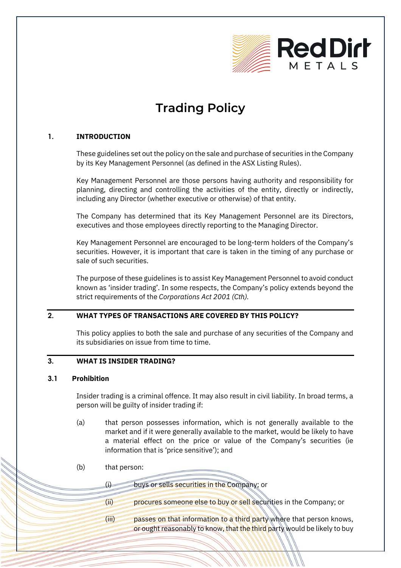

# **Trading Policy**

## **1. INTRODUCTION**

These guidelines set out the policy on the sale and purchase of securities in the Company by its Key Management Personnel (as defined in the ASX Listing Rules).

Key Management Personnel are those persons having authority and responsibility for planning, directing and controlling the activities of the entity, directly or indirectly, including any Director (whether executive or otherwise) of that entity.

The Company has determined that its Key Management Personnel are its Directors, executives and those employees directly reporting to the Managing Director.

Key Management Personnel are encouraged to be long-term holders of the Company's securities. However, it is important that care is taken in the timing of any purchase or sale of such securities.

The purpose of these guidelines is to assist Key Management Personnel to avoid conduct known as 'insider trading'. In some respects, the Company's policy extends beyond the strict requirements of the *Corporations Act 2001 (Cth).*

## **2. WHAT TYPES OF TRANSACTIONS ARE COVERED BY THIS POLICY?**

This policy applies to both the sale and purchase of any securities of the Company and its subsidiaries on issue from time to time.

## **3. WHAT IS INSIDER TRADING?**

#### **3.1 Prohibition**

Insider trading is a criminal offence. It may also result in civil liability. In broad terms, a person will be guilty of insider trading if:

- (a) that person possesses information, which is not generally available to the market and if it were generally available to the market, would be likely to have a material effect on the price or value of the Company's securities (ie information that is 'price sensitive'); and
- (b) that person:

(i) buys or sells securities in the Company; or

- (ii) procures someone else to buy or sell securities in the Company; or
- (iii) passes on that information to a third party where that person knows, or ought reasonably to know, that the third party would be likely to buy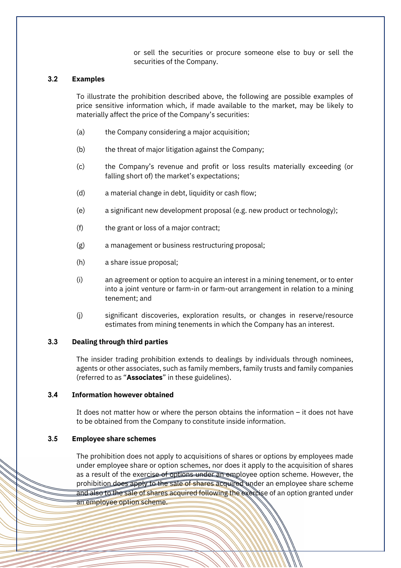or sell the securities or procure someone else to buy or sell the securities of the Company.

## **3.2 Examples**

To illustrate the prohibition described above, the following are possible examples of price sensitive information which, if made available to the market, may be likely to materially affect the price of the Company's securities:

- (a) the Company considering a major acquisition;
- (b) the threat of major litigation against the Company;
- (c) the Company's revenue and profit or loss results materially exceeding (or falling short of) the market's expectations;
- (d) a material change in debt, liquidity or cash flow;
- (e) a significant new development proposal (e.g. new product or technology);
- (f) the grant or loss of a major contract;
- (g) a management or business restructuring proposal;
- (h) a share issue proposal;
- (i) an agreement or option to acquire an interest in a mining tenement, or to enter into a joint venture or farm-in or farm-out arrangement in relation to a mining tenement; and
- (j) significant discoveries, exploration results, or changes in reserve/resource estimates from mining tenements in which the Company has an interest.

#### **3.3 Dealing through third parties**

The insider trading prohibition extends to dealings by individuals through nominees, agents or other associates, such as family members, family trusts and family companies (referred to as "**Associates**" in these guidelines).

#### **3.4 Information however obtained**

It does not matter how or where the person obtains the information – it does not have to be obtained from the Company to constitute inside information.

#### **3.5 Employee share schemes**

The prohibition does not apply to acquisitions of shares or options by employees made under employee share or option schemes, nor does it apply to the acquisition of shares as a result of the exercise of options under an employee option scheme. However, the prohibition does appty to the sale of shares acquired under an employee share scheme and also to the sale of shares acquired following the exercise of an option granted under an employee option scheme.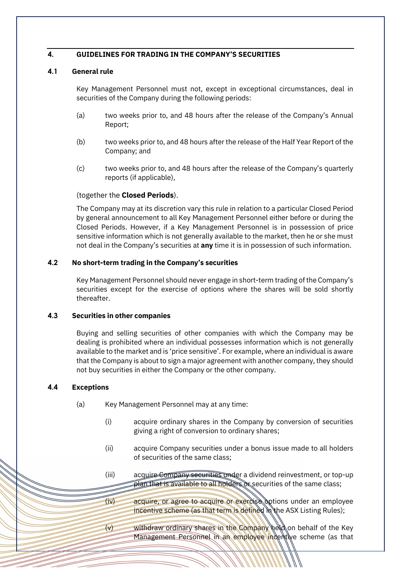#### **4. GUIDELINES FOR TRADING IN THE COMPANY'S SECURITIES**

## <span id="page-2-0"></span>**4.1 General rule**

Key Management Personnel must not, except in exceptional circumstances, deal in securities of the Company during the following periods:

- (a) two weeks prior to, and 48 hours after the release of the Company's Annual Report;
- (b) two weeks prior to, and 48 hours after the release of the Half Year Report of the Company; and
- (c) two weeks prior to, and 48 hours after the release of the Company's quarterly reports (if applicable),

#### (together the **Closed Periods**).

The Company may at its discretion vary this rule in relation to a particular Closed Period by general announcement to all Key Management Personnel either before or during the Closed Periods. However, if a Key Management Personnel is in possession of price sensitive information which is not generally available to the market, then he or she must not deal in the Company's securities at **any** time it is in possession of such information.

## **4.2 No short-term trading in the Company's securities**

Key Management Personnel should never engage in short-term trading of the Company's securities except for the exercise of options where the shares will be sold shortly thereafter.

#### **4.3 Securities in other companies**

Buying and selling securities of other companies with which the Company may be dealing is prohibited where an individual possesses information which is not generally available to the market and is 'price sensitive'. For example, where an individual is aware that the Company is about to sign a major agreement with another company, they should not buy securities in either the Company or the other company.

## **4.4 Exceptions**

- (a) Key Management Personnel may at any time:
	- (i) acquire ordinary shares in the Company by conversion of securities giving a right of conversion to ordinary shares;
	- (ii) acquire Company securities under a bonus issue made to all holders of securities of the same class;
	- (iii) acquire Company securities under a dividend reinvestment, or top-up plan that is available to all holders or securities of the same class;
	- (iv) acquire, or agree to acquire or exercise options under an employee incentive scheme (as that term is defined in the ASX Listing Rules);
	- withdraw ordinary shares in the Company held on behalf of the Key Management Personnel in an employee indentive scheme (as that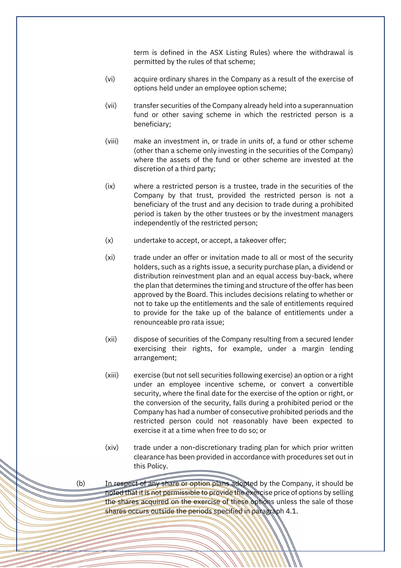term is defined in the ASX Listing Rules) where the withdrawal is permitted by the rules of that scheme;

- (vi) acquire ordinary shares in the Company as a result of the exercise of options held under an employee option scheme;
- (vii) transfer securities of the Company already held into a superannuation fund or other saving scheme in which the restricted person is a beneficiary;
- (viii) make an investment in, or trade in units of, a fund or other scheme (other than a scheme only investing in the securities of the Company) where the assets of the fund or other scheme are invested at the discretion of a third party;
- (ix) where a restricted person is a trustee, trade in the securities of the Company by that trust, provided the restricted person is not a beneficiary of the trust and any decision to trade during a prohibited period is taken by the other trustees or by the investment managers independently of the restricted person;
- (x) undertake to accept, or accept, a takeover offer;
- (xi) trade under an offer or invitation made to all or most of the security holders, such as a rights issue, a security purchase plan, a dividend or distribution reinvestment plan and an equal access buy-back, where the plan that determines the timing and structure of the offer has been approved by the Board. This includes decisions relating to whether or not to take up the entitlements and the sale of entitlements required to provide for the take up of the balance of entitlements under a renounceable pro rata issue;
- (xii) dispose of securities of the Company resulting from a secured lender exercising their rights, for example, under a margin lending arrangement;
- (xiii) exercise (but not sell securities following exercise) an option or a right under an employee incentive scheme, or convert a convertible security, where the final date for the exercise of the option or right, or the conversion of the security, falls during a prohibited period or the Company has had a number of consecutive prohibited periods and the restricted person could not reasonably have been expected to exercise it at a time when free to do so; or
- (xiv) trade under a non-discretionary trading plan for which prior written clearance has been provided in accordance with procedures set out in this Policy.

(b) In respect of any share or option plans adopted by the Company, it should be noted that it is not permissible to provide the exercise price of options by selling the shares acquired on the exercise of these options unless the sale of those shares occurs outside the periods specified in paragraph [4.1.](#page-2-0)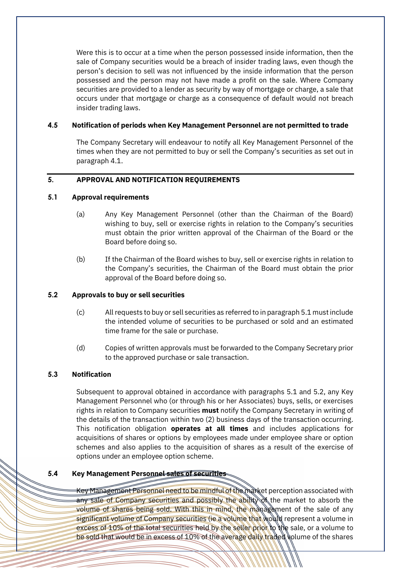Were this is to occur at a time when the person possessed inside information, then the sale of Company securities would be a breach of insider trading laws, even though the person's decision to sell was not influenced by the inside information that the person possessed and the person may not have made a profit on the sale. Where Company securities are provided to a lender as security by way of mortgage or charge, a sale that occurs under that mortgage or charge as a consequence of default would not breach insider trading laws.

#### **4.5 Notification of periods when Key Management Personnel are not permitted to trade**

The Company Secretary will endeavour to notify all Key Management Personnel of the times when they are not permitted to buy or sell the Company's securities as set out in paragraph [4.1.](#page-2-0)

#### **5. APPROVAL AND NOTIFICATION REQUIREMENTS**

#### <span id="page-4-0"></span>**5.1 Approval requirements**

- (a) Any Key Management Personnel (other than the Chairman of the Board) wishing to buy, sell or exercise rights in relation to the Company's securities must obtain the prior written approval of the Chairman of the Board or the Board before doing so.
- (b) If the Chairman of the Board wishes to buy, sell or exercise rights in relation to the Company's securities, the Chairman of the Board must obtain the prior approval of the Board before doing so.

#### <span id="page-4-1"></span>**5.2 Approvals to buy or sell securities**

- (c) All requests to buy or sell securities as referred to in paragrap[h 5.1](#page-4-0) must include the intended volume of securities to be purchased or sold and an estimated time frame for the sale or purchase.
- (d) Copies of written approvals must be forwarded to the Company Secretary prior to the approved purchase or sale transaction.

#### **5.3 Notification**

Subsequent to approval obtained in accordance with paragraphs [5.1](#page-4-0) and [5.2,](#page-4-1) any Key Management Personnel who (or through his or her Associates) buys, sells, or exercises rights in relation to Company securities **must** notify the Company Secretary in writing of the details of the transaction within two (2) business days of the transaction occurring. This notification obligation **operates at all times** and includes applications for acquisitions of shares or options by employees made under employee share or option schemes and also applies to the acquisition of shares as a result of the exercise of options under an employee option scheme.

#### **5.4 Key Management Personnel sales of securities**

Key Management Personnel need to be mindful of the market perception associated with any sale of Company securities and possibly the ability of the market to absorb the volume of shares being sold. With this in mind, the management of the sale of any significant volume of Company securities (ie a volume that would represent a volume in excess of 10% of the total securities held by the seller prior to the sale, or a volume to be sold that would be in excess of 10% of the average daily traded volume of the shares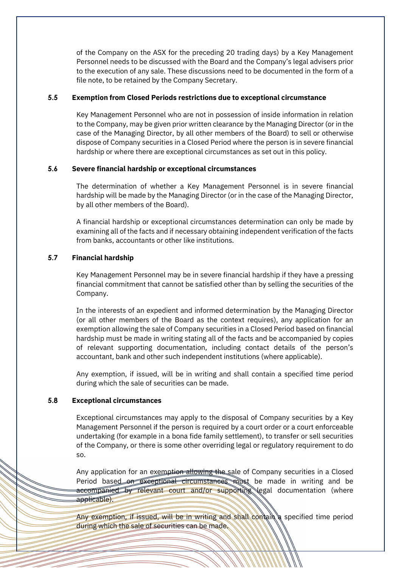of the Company on the ASX for the preceding 20 trading days) by a Key Management Personnel needs to be discussed with the Board and the Company's legal advisers prior to the execution of any sale. These discussions need to be documented in the form of a file note, to be retained by the Company Secretary.

#### **5.5 Exemption from Closed Periods restrictions due to exceptional circumstance**

Key Management Personnel who are not in possession of inside information in relation to the Company, may be given prior written clearance by the Managing Director (or in the case of the Managing Director, by all other members of the Board) to sell or otherwise dispose of Company securities in a Closed Period where the person is in severe financial hardship or where there are exceptional circumstances as set out in this policy.

#### **5.6 Severe financial hardship or exceptional circumstances**

The determination of whether a Key Management Personnel is in severe financial hardship will be made by the Managing Director (or in the case of the Managing Director, by all other members of the Board).

A financial hardship or exceptional circumstances determination can only be made by examining all of the facts and if necessary obtaining independent verification of the facts from banks, accountants or other like institutions.

## **5.7 Financial hardship**

Key Management Personnel may be in severe financial hardship if they have a pressing financial commitment that cannot be satisfied other than by selling the securities of the Company.

In the interests of an expedient and informed determination by the Managing Director (or all other members of the Board as the context requires), any application for an exemption allowing the sale of Company securities in a Closed Period based on financial hardship must be made in writing stating all of the facts and be accompanied by copies of relevant supporting documentation, including contact details of the person's accountant, bank and other such independent institutions (where applicable).

Any exemption, if issued, will be in writing and shall contain a specified time period during which the sale of securities can be made.

#### **5.8 Exceptional circumstances**

Exceptional circumstances may apply to the disposal of Company securities by a Key Management Personnel if the person is required by a court order or a court enforceable undertaking (for example in a bona fide family settlement), to transfer or sell securities of the Company, or there is some other overriding legal or regulatory requirement to do so.

Any application for an exemption allowing the sale of Company securities in a Closed Period based on exceptional circumstances must be made in writing and be accompanied by relevant court and/or supporting legal documentation (where applicable).

Any exemption, if issued, will be in writing and shall contain a specified time period during which the sale of securities can be made.